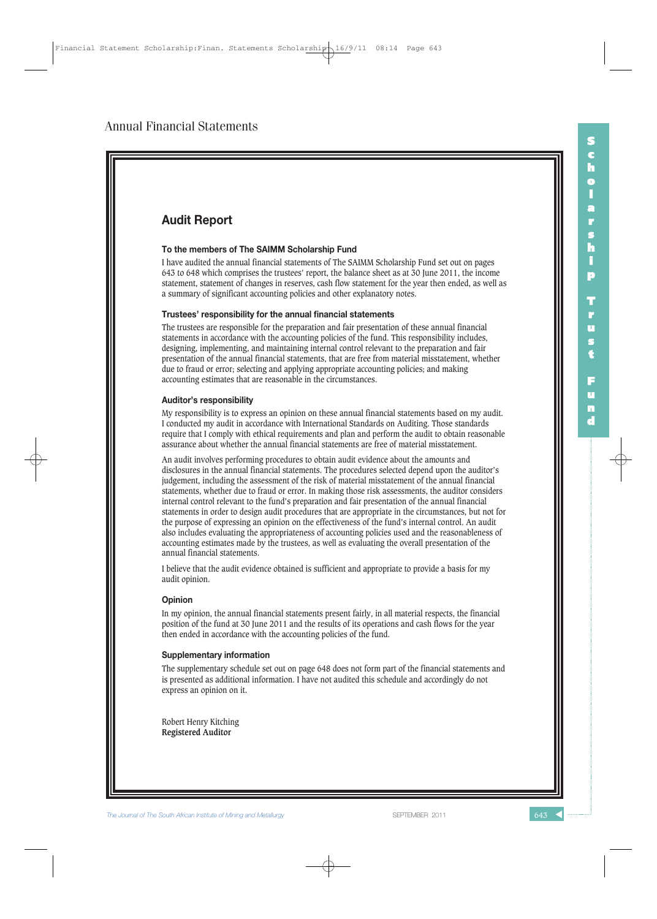

**The Journal of The South African Institute of Mining and Metallurgy Separate SEPTEMBER 2011**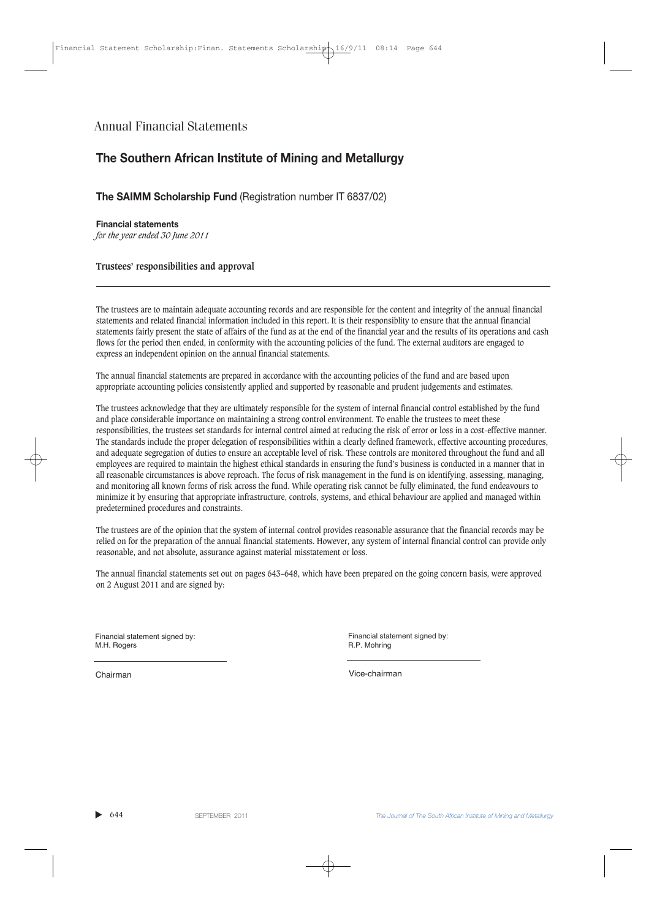# **The Southern African Institute of Mining and Metallurgy**

**The SAIMM Scholarship Fund** (Registration number IT 6837/02)

**Financial statements** *for the year ended 30 June 2011*

### **Trustees' responsibilities and approval**

The trustees are to maintain adequate accounting records and are responsible for the content and integrity of the annual financial statements and related financial information included in this report. It is their responsiblity to ensure that the annual financial statements fairly present the state of affairs of the fund as at the end of the financial year and the results of its operations and cash flows for the period then ended, in conformity with the accounting policies of the fund. The external auditors are engaged to express an independent opinion on the annual financial statements.

The annual financial statements are prepared in accordance with the accounting policies of the fund and are based upon appropriate accounting policies consistently applied and supported by reasonable and prudent judgements and estimates.

The trustees acknowledge that they are ultimately responsible for the system of internal financial control established by the fund and place considerable importance on maintaining a strong control environment. To enable the trustees to meet these responsibilities, the trustees set standards for internal control aimed at reducing the risk of error or loss in a cost-effective manner. The standards include the proper delegation of responsibilities within a clearly defined framework, effective accounting procedures, and adequate segregation of duties to ensure an acceptable level of risk. These controls are monitored throughout the fund and all employees are required to maintain the highest ethical standards in ensuring the fund's business is conducted in a manner that in all reasonable circumstances is above reproach. The focus of risk management in the fund is on identifying, assessing, managing, and monitoring all known forms of risk across the fund. While operating risk cannot be fully eliminated, the fund endeavours to minimize it by ensuring that appropriate infrastructure, controls, systems, and ethical behaviour are applied and managed within predetermined procedures and constraints.

The trustees are of the opinion that the system of internal control provides reasonable assurance that the financial records may be relied on for the preparation of the annual financial statements. However, any system of internal financial control can provide only reasonable, and not absolute, assurance against material misstatement or loss.

The annual financial statements set out on pages 643–648, which have been prepared on the going concern basis, were approved on 2 August 2011 and are signed by:

Financial statement signed by: M.H. Rogers

Financial statement signed by: R.P. Mohring

Chairman Vice-chairman

▲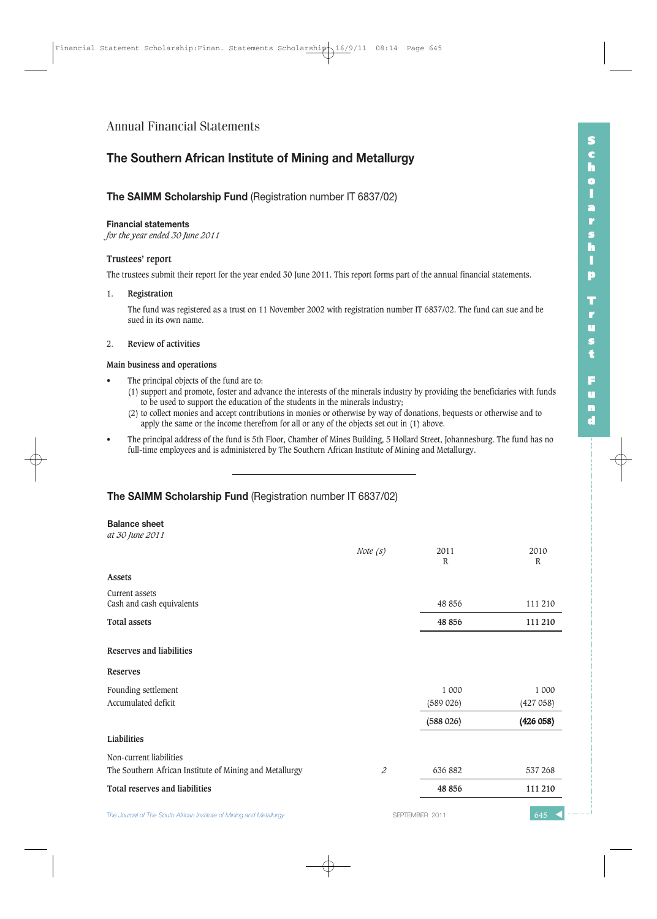# **The Southern African Institute of Mining and Metallurgy**

## **The SAIMM Scholarship Fund** (Registration number IT 6837/02)

#### **Financial statements**

*for the year ended 30 June 2011*

### **Trustees' report**

The trustees submit their report for the year ended 30 June 2011. This report forms part of the annual financial statements.

## 1. **Registration**

The fund was registered as a trust on 11 November 2002 with registration number IT 6837/02. The fund can sue and be sued in its own name.

## 2. **Review of activities**

## **Main business and operations**

- The principal objects of the fund are to:
	- (1) support and promote, foster and advance the interests of the minerals industry by providing the beneficiaries with funds to be used to support the education of the students in the minerals industry;
	- (2) to collect monies and accept contributions in monies or otherwise by way of donations, bequests or otherwise and to apply the same or the income therefrom for all or any of the objects set out in (1) above.
- The principal address of the fund is 5th Floor, Chamber of Mines Building, 5 Hollard Street, Johannesburg. The fund has no full-time employees and is administered by The Southern African Institute of Mining and Metallurgy.

## **The SAIMM Scholarship Fund** (Registration number IT 6837/02)

#### **Balance sheet** *at 30 June 2011*

| $\mathfrak{m}\circ\mathfrak{c}$ for $\mathfrak{r}\circ\mathfrak{r}$ |            |                      |                      |
|---------------------------------------------------------------------|------------|----------------------|----------------------|
|                                                                     | Note $(s)$ | 2011<br>$\mathbb{R}$ | 2010<br>$\mathbb{R}$ |
| Assets                                                              |            |                      |                      |
| Current assets<br>Cash and cash equivalents                         |            | 48 856               | 111 210              |
| <b>Total assets</b>                                                 |            | 48 856               | 111 210              |
| Reserves and liabilities                                            |            |                      |                      |
| <b>Reserves</b>                                                     |            |                      |                      |
| Founding settlement                                                 |            | 1 000                | 1 000                |
| Accumulated deficit                                                 |            | (589 026)            | (427058)             |
|                                                                     |            | (588026)             | (426058)             |
| Liabilities                                                         |            |                      |                      |
| Non-current liabilities                                             |            |                      |                      |
| The Southern African Institute of Mining and Metallurgy             | 2          | 636 882              | 537 268              |
| Total reserves and liabilities                                      |            | 48 856               | 111 210              |
| The Journal of The South African Institute of Mining and Metallurgy |            | SEPTEMBER 2011       | 645                  |

**S c h o l a r s h i p T r u s t F u n d**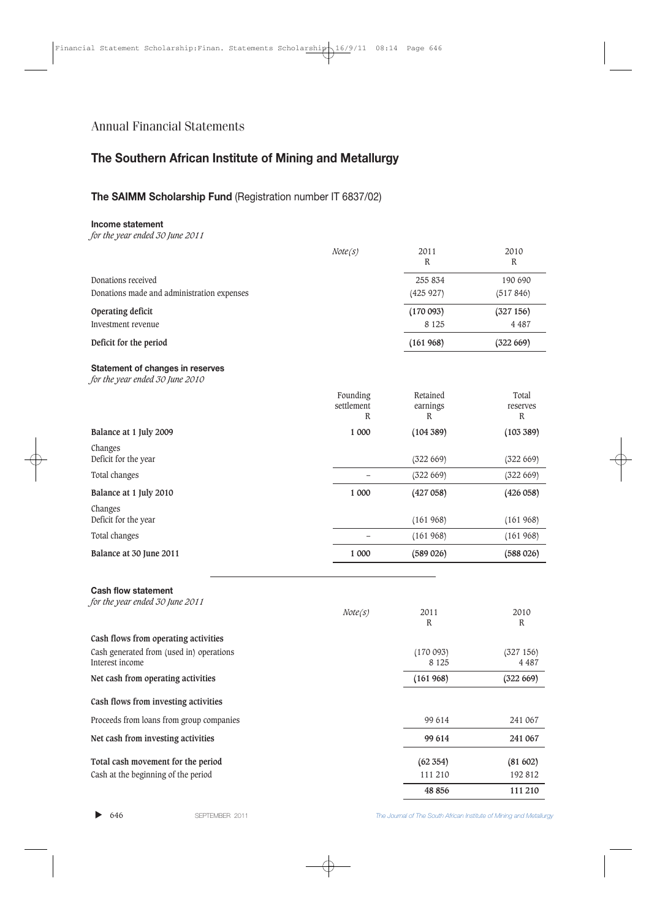# **The Southern African Institute of Mining and Metallurgy**

# **The SAIMM Scholarship Fund** (Registration number IT 6837/02)

## **Income statement**

*for the year ended 30 June 2011*

|                                                                     | Note(S)                                | 2011<br>R                 | 2010<br>R                        |
|---------------------------------------------------------------------|----------------------------------------|---------------------------|----------------------------------|
| Donations received                                                  |                                        | 255 834                   | 190 690                          |
| Donations made and administration expenses                          |                                        | (425927)                  | (517846)                         |
| Operating deficit                                                   |                                        | (170093)                  | (327156)                         |
| Investment revenue                                                  |                                        | 8 1 2 5                   | 4 4 8 7                          |
| Deficit for the period                                              |                                        | (161968)                  | (322 669)                        |
| Statement of changes in reserves<br>for the year ended 30 June 2010 |                                        |                           |                                  |
|                                                                     | Founding<br>settlement<br>$\mathbb{R}$ | Retained<br>earnings<br>R | Total<br>reserves<br>$\mathbb R$ |
| Balance at 1 July 2009                                              | 1 000                                  | (104 389)                 | (103 389)                        |
| Changes<br>Deficit for the year                                     |                                        | (322 669)                 | (322 669)                        |
| Total changes                                                       |                                        | (322 669)                 | (322 669)                        |
| Balance at 1 July 2010                                              | 1 000                                  | (427058)                  | (426058)                         |
| Changes<br>Deficit for the year                                     |                                        | (161968)                  | (161968)                         |
| Total changes                                                       |                                        | (161968)                  | (161968)                         |
| Balance at 30 June 2011                                             | 1 000                                  | (589 026)                 | (588026)                         |
| <b>Cash flow statement</b><br>for the year ended 30 June 2011       | Note(s)                                | 2011<br>${\bf R}$         | 2010<br>$\mathbb R$              |
| Cash flows from operating activities                                |                                        |                           |                                  |
| Cash generated from (used in) operations<br>Interest income         |                                        | (170093)<br>8 1 2 5       | (327156)<br>4 4 8 7              |
| Net cash from operating activities                                  |                                        | (161968)                  | (322 669)                        |
| Cash flows from investing activities                                |                                        |                           |                                  |
| Proceeds from loans from group companies                            |                                        | 99 614                    | 241 067                          |
| Net cash from investing activities                                  |                                        | 99 614                    | 241 067                          |
| Total cash movement for the period                                  |                                        | (62 354)                  | (81602)                          |
| Cash at the beginning of the period                                 |                                        | 111 210                   | 192812                           |
|                                                                     |                                        | 48 856                    | 111 210                          |

 $\blacktriangleright$  646

646 SEPTEMBER 2011 *The Journal of The South African Institute of Mining and Metallurgy*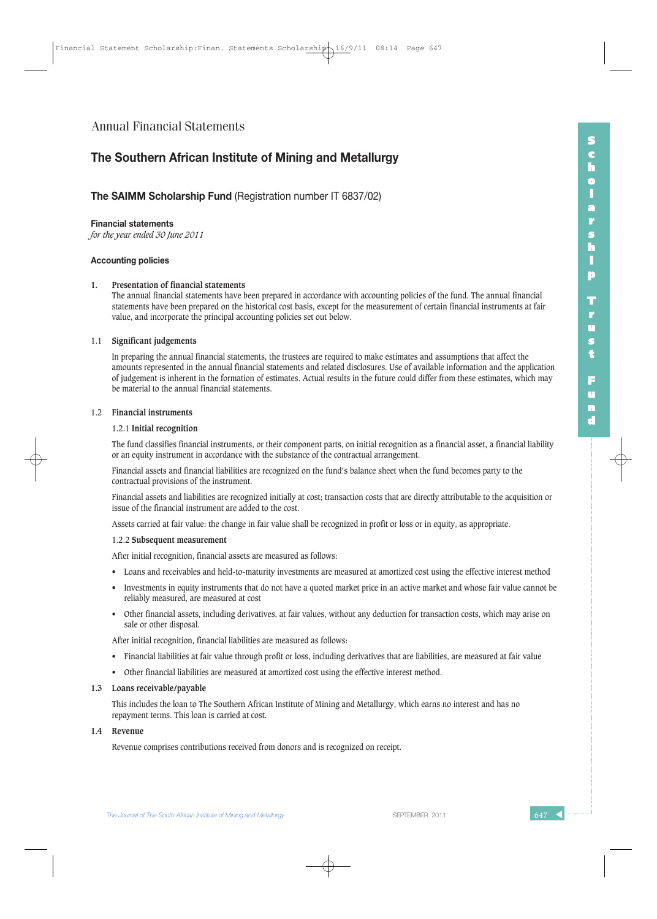## **The Southern African Institute of Mining and Metallurgy**

## **The SAIMM Scholarship Fund** (Registration number IT 6837/02)

#### **Financial statements**

*for the year ended 30 June 2011*

#### **Accounting policies**

#### **1. Presentation of financial statements**

The annual financial statements have been prepared in accordance with accounting policies of the fund. The annual financial statements have been prepared on the historical cost basis, except for the measurement of certain financial instruments at fair value, and incorporate the principal accounting policies set out below.

#### 1.1 **Significant judgements**

In preparing the annual financial statements, the trustees are required to make estimates and assumptions that affect the amounts represented in the annual financial statements and related disclosures. Use of available information and the application of judgement is inherent in the formation of estimates. Actual results in the future could differ from these estimates, which may be material to the annual financial statements.

#### 1.2 **Financial instruments**

## 1.2.1 **Initial recognition**

The fund classifies financial instruments, or their component parts, on initial recognition as a financial asset, a financial liability or an equity instrument in accordance with the substance of the contractual arrangement.

Financial assets and financial liabilities are recognized on the fund's balance sheet when the fund becomes party to the contractual provisions of the instrument.

Financial assets and liabilities are recognized initially at cost; transaction costs that are directly attributable to the acquisition or issue of the financial instrument are added to the cost.

Assets carried at fair value: the change in fair value shall be recognized in profit or loss or in equity, as appropriate.

#### 1.2.2 **Subsequent measurement**

After initial recognition, financial assets are measured as follows:

- Loans and receivables and held-to-maturity investments are measured at amortized cost using the effective interest method
- Investments in equity instruments that do not have a quoted market price in an active market and whose fair value cannot be reliably measured, are measured at cost
- Other financial assets, including derivatives, at fair values, without any deduction for transaction costs, which may arise on sale or other disposal.

After initial recognition, financial liabilities are measured as follows:

- Financial liabilities at fair value through profit or loss, including derivatives that are liabilities, are measured at fair value
- Other financial liabilities are measured at amortized cost using the effective interest method.

#### **1.3 Loans receivable/payable**

This includes the loan to The Southern African Institute of Mining and Metallurgy, which earns no interest and has no repayment terms. This loan is carried at cost.

#### **1.4 Revenue**

Revenue comprises contributions received from donors and is recognized on receipt.

**The Journal of The South African Institute of Mining and Metallurgy Separate SEPTEMBER 2011** 

**S c h o l a r s h i p**

**T r u s t**

**F u n d**